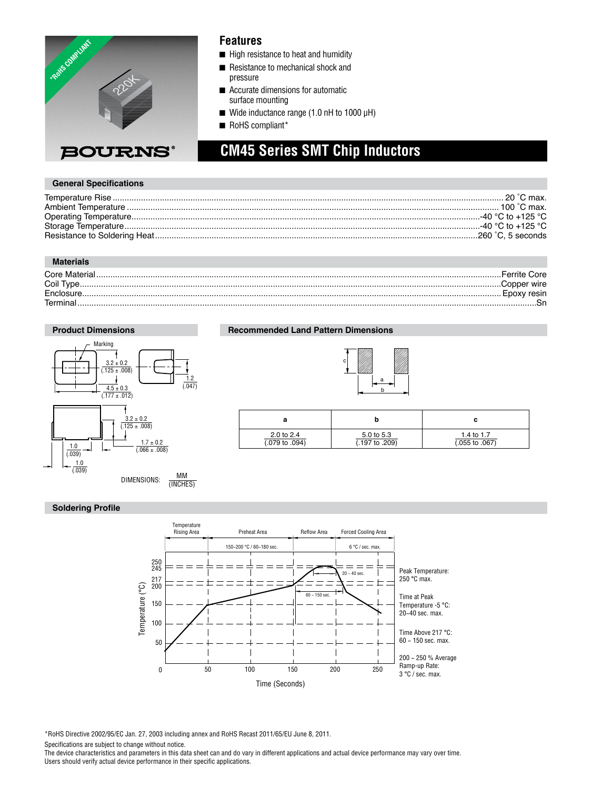

### **Features**

- $\blacksquare$  High resistance to heat and humidity
- $\blacksquare$  Resistance to mechanical shock and pressure
- $\blacksquare$  Accurate dimensions for automatic surface mounting
- $\blacksquare$  Wide inductance range (1.0 nH to 1000 µH)
- RoHS compliant\*

## **CM45 Series SMT Chip Inductors**

### **General Specifications**

| $\sim$ 100 $\degree$ C max. |
|-----------------------------|
| -40 °C to +125 °C.          |
| -40 °C to +125 °C.          |
| 260 °C. 5 seconds           |
|                             |

### **Materials**

| Core Material. | .Ferrite Core |
|----------------|---------------|
|                | Copper wire   |
| Fnclosure.     |               |
| Terminai       |               |
|                |               |

#### **Product Dimensions CM100505, CM160808 CM322522 CM453232**



**Recommended Land Pattern Dimensions**



c

| 2.0 to $2.4$       | 5.0 to 5.3                | 1.4 to 1.7                |
|--------------------|---------------------------|---------------------------|
| $(.079$ to $.094)$ | $(.197 \text{ to } .209)$ | $(.055 \text{ to } .067)$ |

#### **Soldering Profile**



\*RoHS Directive 2002/95/EC Jan. 27, 2003 including annex and RoHS Recast 2011/65/EU June 8, 2011.

Specifications are subject to change without notice.

The device characteristics and parameters in this data sheet can and do vary in different applications and actual device performance may vary over time. Users should verify actual device performance in their specific applications.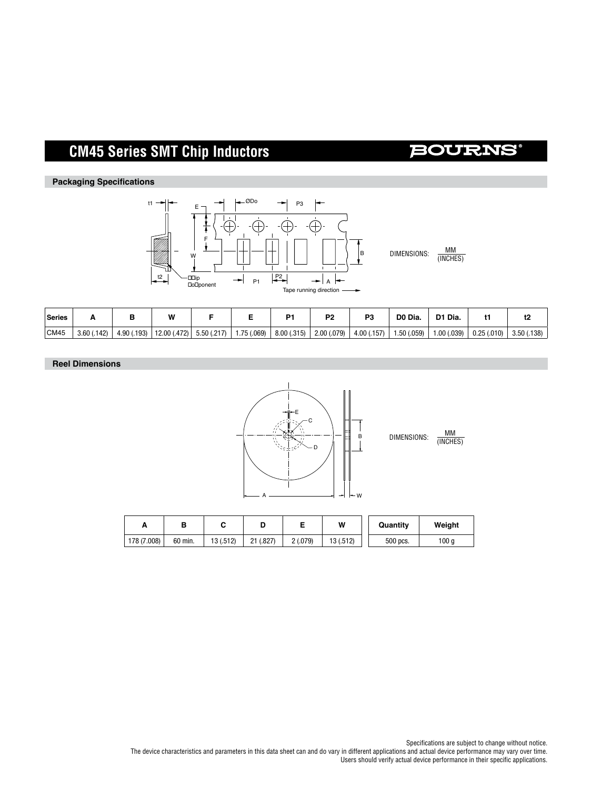# **CM45 Series SMT Chip Inductors**

## **BOURNS**

### **Packaging Specifications**



ØDo

DIMENSIONS:  $\frac{MM}{MNCHE}$ (INCHES)

| Series |                 |                | w            |            |             | D.         | P <sub>2</sub> | P3          | D0 Dia.       | D1 Dia.     | . .         | LZ.         |
|--------|-----------------|----------------|--------------|------------|-------------|------------|----------------|-------------|---------------|-------------|-------------|-------------|
| CM45   | (.142)<br>3.60( | (.193)<br>4.90 | 12.00 (.472) | 5.50(.217) | 1.75 (.069) | 8.00(.315) | 2.00<br>(.079) | 4.00 (.157) | (.059)<br>.50 | 1.00 (.039) | 0.25(0.010) | 3.50(0.138) |

P3

### **Reel Dimensions**





| -           |         |           |           |         | w         | Quantity | Weight           |
|-------------|---------|-----------|-----------|---------|-----------|----------|------------------|
| 178 (7.008) | 60 min. | 13 (.512) | 21 (.827) | 2(.079) | 13 (.512) | 500 pcs. | 100 <sub>g</sub> |